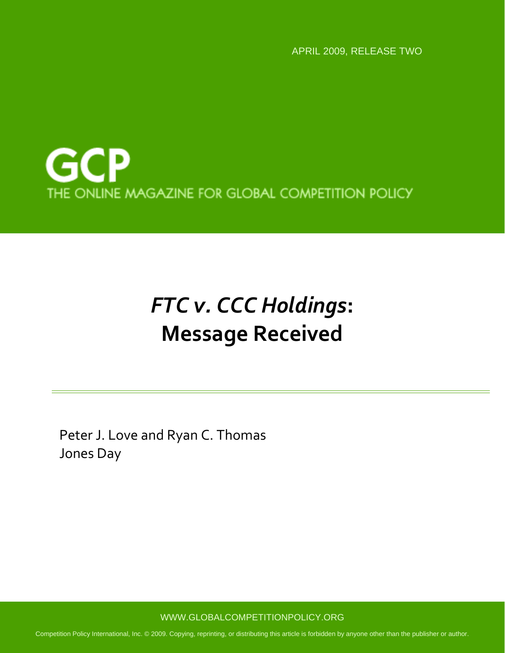APRIL 2009, RELEASE TWO



# *FTC v. CCC Holdings***: Message Received**

Peter J. Love and Ryan C. Thomas Jones Day

WWW.GLOBALCOMPETITIONPOLICY.ORG

Competition Policy International, Inc. © 2009. Copying, reprinting, or distributing this article is forbidden by anyone other than the publisher or author.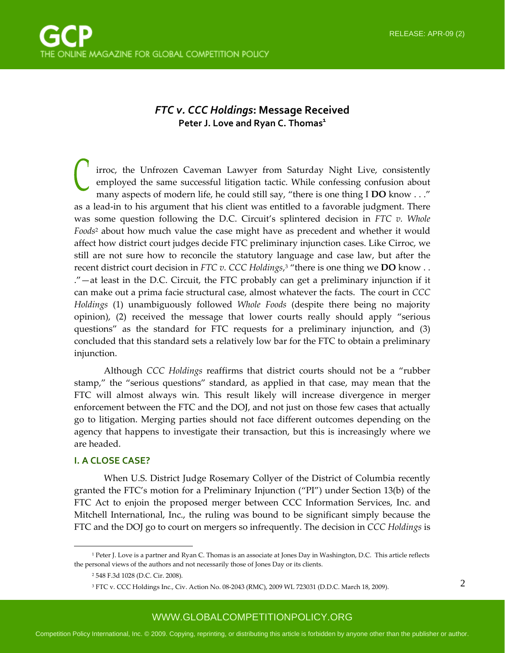## *FTC v. CCC Holdings***: Message Received Peter J.** Love and Ryan C. Thomas<sup>1</sup>

irroc, the Unfrozen Caveman Lawyer from Saturday Night Live, consistently employed the same successful litigation tactic. While confessing confusion about many aspects of modern life, he could still say, "there is one thing I **DO** know . . ." as a lead‐in to his argument that his client was entitled to a favorable judgment. There was some question following the D.C. Circuit's splintered decision in *FTC v. Whole Foods*<sup>2</sup> about how much value the case might have as precedent and whether it would affect how district court judges decide FTC preliminary injunction cases. Like Cirroc, we still are not sure how to reconcile the statutory language and case law, but after the recent district court decision in *FTC v. CCC Holdings*, <sup>3</sup> "there is one thing we **DO** know . . ."—at least in the D.C. Circuit, the FTC probably can get a preliminary injunction if it can make out a prima facie structural case, almost whatever the facts. The court in *CCC Holdings* (1) unambiguously followed *Whole Foods* (despite there being no majority opinion), (2) received the message that lower courts really should apply "serious questions" as the standard for FTC requests for a preliminary injunction, and (3) concluded that this standard sets a relatively low bar for the FTC to obtain a preliminary injunction.

Although *CCC Holdings* reaffirms that district courts should not be a "rubber stamp," the "serious questions" standard, as applied in that case, may mean that the FTC will almost always win. This result likely will increase divergence in merger enforcement between the FTC and the DOJ, and not just on those few cases that actually go to litigation. Merging parties should not face different outcomes depending on the agency that happens to investigate their transaction, but this is increasingly where we are headed.

#### **I. A CLOSE CASE?**

 $\overline{a}$ 

When U.S. District Judge Rosemary Collyer of the District of Columbia recently granted the FTC's motion for a Preliminary Injunction ("PI") under Section 13(b) of the FTC Act to enjoin the proposed merger between CCC Information Services, Inc. and Mitchell International, Inc., the ruling was bound to be significant simply because the FTC and the DOJ go to court on mergers so infrequently. The decision in *CCC Holdings* is

<sup>&</sup>lt;sup>1</sup> Peter J. Love is a partner and Ryan C. Thomas is an associate at Jones Day in Washington, D.C. This article reflects the personal views of the authors and not necessarily those of Jones Day or its clients.

<sup>2</sup> 548 F.3d 1028 (D.C. Cir. 2008).

<sup>3</sup> FTC v. CCC Holdings Inc., Civ. Action No. 08‐2043 (RMC), 2009 WL 723031 (D.D.C. March 18, 2009).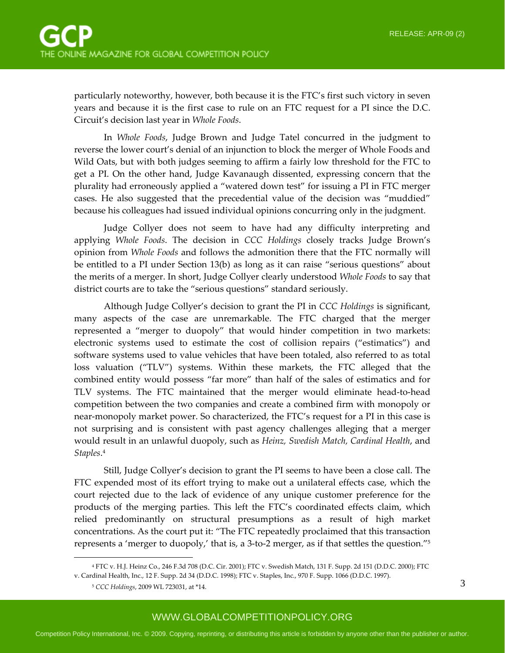particularly noteworthy, however, both because it is the FTC's first such victory in seven years and because it is the first case to rule on an FTC request for a PI since the D.C. Circuit's decision last year in *Whole Foods*.

In *Whole Foods*, Judge Brown and Judge Tatel concurred in the judgment to reverse the lower court's denial of an injunction to block the merger of Whole Foods and Wild Oats, but with both judges seeming to affirm a fairly low threshold for the FTC to get a PI. On the other hand, Judge Kavanaugh dissented, expressing concern that the plurality had erroneously applied a "watered down test" for issuing a PI in FTC merger cases. He also suggested that the precedential value of the decision was "muddied" because his colleagues had issued individual opinions concurring only in the judgment.

Judge Collyer does not seem to have had any difficulty interpreting and applying *Whole Foods*. The decision in *CCC Holdings* closely tracks Judge Brown's opinion from *Whole Foods* and follows the admonition there that the FTC normally will be entitled to a PI under Section 13(b) as long as it can raise "serious questions" about the merits of a merger. In short, Judge Collyer clearly understood *Whole Foods* to say that district courts are to take the "serious questions" standard seriously.

Although Judge Collyer's decision to grant the PI in *CCC Holdings* is significant, many aspects of the case are unremarkable. The FTC charged that the merger represented a "merger to duopoly" that would hinder competition in two markets: electronic systems used to estimate the cost of collision repairs ("estimatics") and software systems used to value vehicles that have been totaled, also referred to as total loss valuation ("TLV") systems. Within these markets, the FTC alleged that the combined entity would possess "far more" than half of the sales of estimatics and for TLV systems. The FTC maintained that the merger would eliminate head‐to‐head competition between the two companies and create a combined firm with monopoly or near-monopoly market power. So characterized, the FTC's request for a PI in this case is not surprising and is consistent with past agency challenges alleging that a merger would result in an unlawful duopoly, such as *Heinz, Swedish Match, Cardinal Health*, and *Staples*. 4

Still, Judge Collyer's decision to grant the PI seems to have been a close call. The FTC expended most of its effort trying to make out a unilateral effects case, which the court rejected due to the lack of evidence of any unique customer preference for the products of the merging parties. This left the FTC's coordinated effects claim, which relied predominantly on structural presumptions as a result of high market concentrations. As the court put it: "The FTC repeatedly proclaimed that this transaction represents a 'merger to duopoly,' that is, a 3-to-2 merger, as if that settles the question."<sup>5</sup>

 $\overline{a}$ 

<sup>4</sup> FTC v. H.J. Heinz Co., 246 F.3d 708 (D.C. Cir. 2001); FTC v. Swedish Match, 131 F. Supp. 2d 151 (D.D.C. 2000); FTC v. Cardinal Health, Inc., 12 F. Supp. 2d 34 (D.D.C. 1998); FTC v. Staples, Inc., 970 F. Supp. 1066 (D.D.C. 1997).

<sup>5</sup> *CCC Holdings*, 2009 WL 723031, at \*14.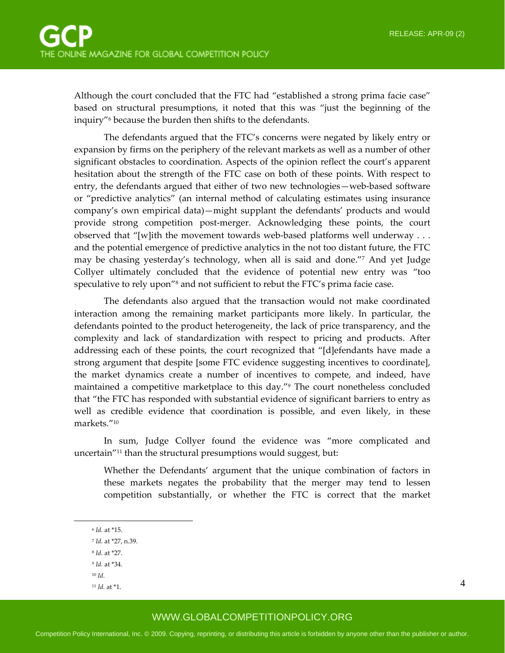Although the court concluded that the FTC had "established a strong prima facie case" based on structural presumptions, it noted that this was "just the beginning of the inquiry"6 because the burden then shifts to the defendants.

The defendants argued that the FTC's concerns were negated by likely entry or expansion by firms on the periphery of the relevant markets as well as a number of other significant obstacles to coordination. Aspects of the opinion reflect the court's apparent hesitation about the strength of the FTC case on both of these points. With respect to entry, the defendants argued that either of two new technologies—web-based software or "predictive analytics" (an internal method of calculating estimates using insurance company's own empirical data)—might supplant the defendants' products and would provide strong competition post‐merger. Acknowledging these points, the court observed that "[w]ith the movement towards web-based platforms well underway . . . and the potential emergence of predictive analytics in the not too distant future, the FTC may be chasing yesterday's technology, when all is said and done."7 And yet Judge Collyer ultimately concluded that the evidence of potential new entry was "too speculative to rely upon"<sup>8</sup> and not sufficient to rebut the FTC's prima facie case.

The defendants also argued that the transaction would not make coordinated interaction among the remaining market participants more likely. In particular, the defendants pointed to the product heterogeneity, the lack of price transparency, and the complexity and lack of standardization with respect to pricing and products. After addressing each of these points, the court recognized that "[d]efendants have made a strong argument that despite [some FTC evidence suggesting incentives to coordinate], the market dynamics create a number of incentives to compete, and indeed, have maintained a competitive marketplace to this day."<sup>9</sup> The court nonetheless concluded that "the FTC has responded with substantial evidence of significant barriers to entry as well as credible evidence that coordination is possible, and even likely, in these markets."10

In sum, Judge Collyer found the evidence was "more complicated and uncertain"11 than the structural presumptions would suggest, but:

Whether the Defendants' argument that the unique combination of factors in these markets negates the probability that the merger may tend to lessen competition substantially, or whether the FTC is correct that the market

 $\overline{a}$ 

<sup>9</sup> *Id.* at \*34.

4

<sup>6</sup> *Id.* at \*15.

<sup>7</sup> *Id.* at \*27, n.39.

<sup>8</sup> *Id.* at \*27.

<sup>10</sup> *Id.*

<sup>11</sup> *Id.* at \*1.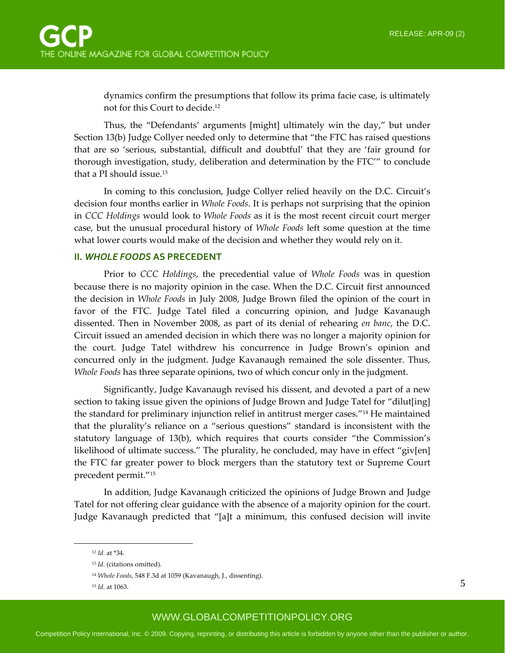dynamics confirm the presumptions that follow its prima facie case, is ultimately not for this Court to decide.12

Thus, the "Defendants' arguments [might] ultimately win the day," but under Section 13(b) Judge Collyer needed only to determine that "the FTC has raised questions that are so 'serious, substantial, difficult and doubtful' that they are 'fair ground for thorough investigation, study, deliberation and determination by the FTC'" to conclude that a PI should issue.13

In coming to this conclusion, Judge Collyer relied heavily on the D.C. Circuit's decision four months earlier in *Whole Foods*. It is perhaps not surprising that the opinion in *CCC Holdings* would look to *Whole Foods* as it is the most recent circuit court merger case, but the unusual procedural history of *Whole Foods* left some question at the time what lower courts would make of the decision and whether they would rely on it.

#### **II.** *WHOLE FOODS* **AS PRECEDENT**

Prior to *CCC Holdings*, the precedential value of *Whole Foods* was in question because there is no majority opinion in the case. When the D.C. Circuit first announced the decision in *Whole Foods* in July 2008, Judge Brown filed the opinion of the court in favor of the FTC. Judge Tatel filed a concurring opinion, and Judge Kavanaugh dissented. Then in November 2008, as part of its denial of rehearing *en banc*, the D.C. Circuit issued an amended decision in which there was no longer a majority opinion for the court. Judge Tatel withdrew his concurrence in Judge Brown's opinion and concurred only in the judgment. Judge Kavanaugh remained the sole dissenter. Thus, *Whole Foods* has three separate opinions, two of which concur only in the judgment.

Significantly, Judge Kavanaugh revised his dissent, and devoted a part of a new section to taking issue given the opinions of Judge Brown and Judge Tatel for "dilut[ing] the standard for preliminary injunction relief in antitrust merger cases."14 He maintained that the plurality's reliance on a "serious questions" standard is inconsistent with the statutory language of 13(b), which requires that courts consider "the Commission's likelihood of ultimate success." The plurality, he concluded, may have in effect "giv[en] the FTC far greater power to block mergers than the statutory text or Supreme Court precedent permit."15

In addition, Judge Kavanaugh criticized the opinions of Judge Brown and Judge Tatel for not offering clear guidance with the absence of a majority opinion for the court. Judge Kavanaugh predicted that "[a]t a minimum, this confused decision will invite

 $\overline{a}$ 

<sup>12</sup> *Id.* at \*34.

<sup>13</sup> *Id.* (citations omitted).

<sup>14</sup> *Whole Foods*, 548 F.3d at 1059 (Kavanaugh, J., dissenting).

<sup>15</sup> *Id.* at 1063.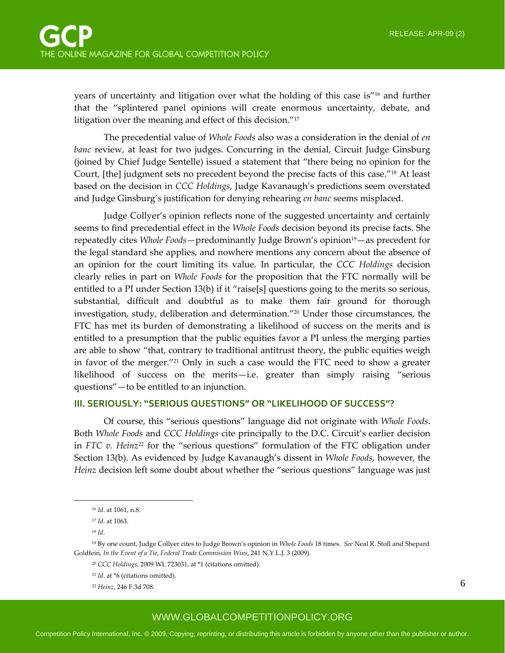years of uncertainty and litigation over what the holding of this case is"16 and further that the "splintered panel opinions will create enormous uncertainty, debate, and litigation over the meaning and effect of this decision."17

The precedential value of *Whole Foods* also was a consideration in the denial of *en banc* review, at least for two judges. Concurring in the denial, Circuit Judge Ginsburg (joined by Chief Judge Sentelle) issued a statement that "there being no opinion for the Court, [the] judgment sets no precedent beyond the precise facts of this case."18 At least based on the decision in *CCC Holdings*, Judge Kavanaugh's predictions seem overstated and Judge Ginsburg's justification for denying rehearing *en banc* seems misplaced.

Judge Collyer's opinion reflects none of the suggested uncertainty and certainly seems to find precedential effect in the *Whole Foods* decision beyond its precise facts. She repeatedly cites *Whole Foods*—predominantly Judge Brown's opinion19—as precedent for the legal standard she applies, and nowhere mentions any concern about the absence of an opinion for the court limiting its value. In particular, the *CCC Holdings* decision clearly relies in part on *Whole Foods* for the proposition that the FTC normally will be entitled to a PI under Section 13(b) if it "raise[s] questions going to the merits so serious, substantial, difficult and doubtful as to make them fair ground for thorough investigation, study, deliberation and determination."20 Under those circumstances, the FTC has met its burden of demonstrating a likelihood of success on the merits and is entitled to a presumption that the public equities favor a PI unless the merging parties are able to show "that, contrary to traditional antitrust theory, the public equities weigh in favor of the merger."21 Only in such a case would the FTC need to show a greater likelihood of success on the merits—i.e. greater than simply raising "serious questions"—to be entitled to an injunction.

#### **III. SERIOUSLY: "SERIOUS QUESTIONS" OR "LIKELIHOOD OF SUCCESS"?**

Of course, this "serious questions" language did not originate with *Whole Foods*. Both *Whole Foods* and *CCC Holdings* cite principally to the D.C. Circuit's earlier decision in *FTC v. Heinz*<sup>22</sup> for the "serious questions" formulation of the FTC obligation under Section 13(b). As evidenced by Judge Kavanaugh's dissent in *Whole Foods*, however, the *Heinz* decision left some doubt about whether the "serious questions" language was just

 $\overline{a}$ 

<sup>16</sup> *Id*. at 1061, n.8.

<sup>17</sup> *Id*. at 1063.

<sup>18</sup> *Id*.

<sup>19</sup> By one count, Judge Collyer cites to Judge Brown's opinion in *Whole Foods* 18 times. *See* Neal R. Stoll and Shepard Goldfein, *In the Event of a Tie, Federal Trade Commission Wins*, 241 N.Y.L.J. 3 (2009).

<sup>20</sup> *CCC Holdings*, 2009 WL 723031, at \*1 (citations omitted).

<sup>21</sup> *Id*. at \*6 (citations omitted).

<sup>22</sup> *Heinz*, 246 F.3d 708.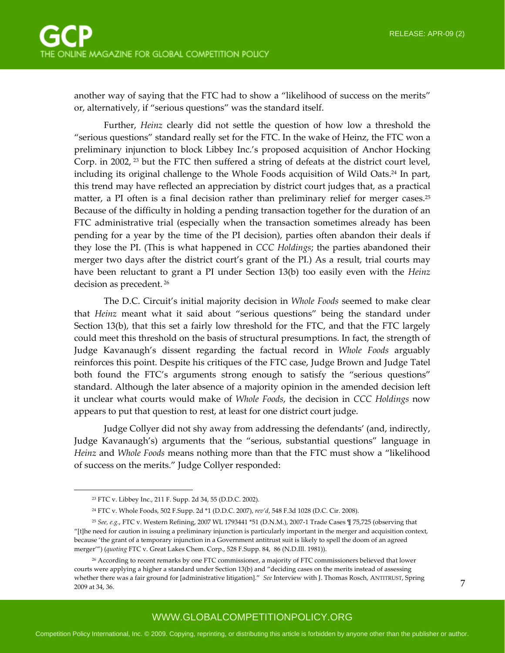another way of saying that the FTC had to show a "likelihood of success on the merits" or, alternatively, if "serious questions" was the standard itself.

Further, *Heinz* clearly did not settle the question of how low a threshold the "serious questions" standard really set for the FTC. In the wake of Heinz, the FTC won a preliminary injunction to block Libbey Inc.'s proposed acquisition of Anchor Hocking Corp. in 2002,  $^{23}$  but the FTC then suffered a string of defeats at the district court level, including its original challenge to the Whole Foods acquisition of Wild Oats.<sup>24</sup> In part, this trend may have reflected an appreciation by district court judges that, as a practical matter, a PI often is a final decision rather than preliminary relief for merger cases.<sup>25</sup> Because of the difficulty in holding a pending transaction together for the duration of an FTC administrative trial (especially when the transaction sometimes already has been pending for a year by the time of the PI decision), parties often abandon their deals if they lose the PI. (This is what happened in *CCC Holdings*; the parties abandoned their merger two days after the district court's grant of the PI.) As a result, trial courts may have been reluctant to grant a PI under Section 13(b) too easily even with the *Heinz* decision as precedent. <sup>26</sup>

The D.C. Circuit's initial majority decision in *Whole Foods* seemed to make clear that *Heinz* meant what it said about "serious questions" being the standard under Section 13(b), that this set a fairly low threshold for the FTC, and that the FTC largely could meet this threshold on the basis of structural presumptions. In fact, the strength of Judge Kavanaugh's dissent regarding the factual record in *Whole Foods* arguably reinforces this point. Despite his critiques of the FTC case, Judge Brown and Judge Tatel both found the FTC's arguments strong enough to satisfy the "serious questions" standard. Although the later absence of a majority opinion in the amended decision left it unclear what courts would make of *Whole Foods*, the decision in *CCC Holdings* now appears to put that question to rest, at least for one district court judge.

Judge Collyer did not shy away from addressing the defendants' (and, indirectly, Judge Kavanaugh's) arguments that the "serious, substantial questions" language in *Heinz* and *Whole Foods* means nothing more than that the FTC must show a "likelihood of success on the merits." Judge Collyer responded:

 $\overline{a}$ 

<sup>23</sup> FTC v. Libbey Inc., 211 F. Supp. 2d 34, 55 (D.D.C. 2002).

<sup>24</sup> FTC v. Whole Foods, 502 F.Supp. 2d \*1 (D.D.C. 2007), *rev'd*, 548 F.3d 1028 (D.C. Cir. 2008).

<sup>25</sup> *See, e.g.*, FTC v. Western Refining, 2007 WL 1793441 \*51 (D.N.M.), 2007‐1 Trade Cases ¶ 75,725 (observing that "[t]he need for caution in issuing a preliminary injunction is particularly important in the merger and acquisition context, because 'the grant of a temporary injunction in a Government antitrust suit is likely to spell the doom of an agreed merger'") (*quoting* FTC v. Great Lakes Chem. Corp., 528 F.Supp. 84, 86 (N.D.Ill. 1981)).

<sup>26</sup> According to recent remarks by one FTC commissioner, a majority of FTC commissioners believed that lower courts were applying a higher a standard under Section 13(b) and "deciding cases on the merits instead of assessing whether there was a fair ground for [administrative litigation]." *See* Interview with J. Thomas Rosch, ANTITRUST, Spring 2009 at 34, 36.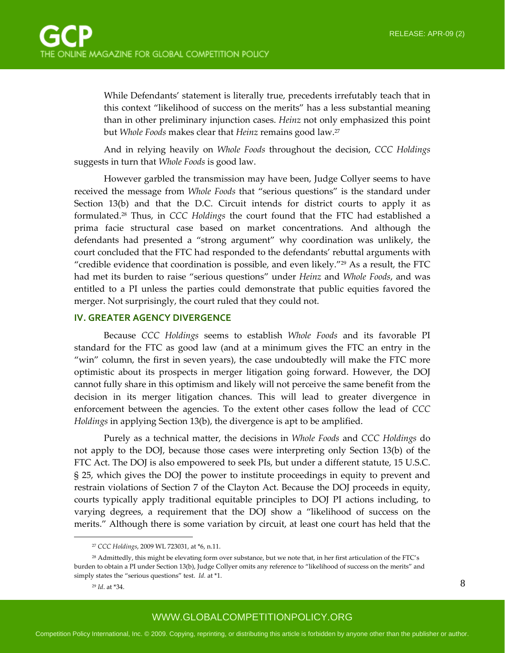While Defendants' statement is literally true, precedents irrefutably teach that in this context "likelihood of success on the merits" has a less substantial meaning than in other preliminary injunction cases. *Heinz* not only emphasized this point but *Whole Foods* makes clear that *Heinz* remains good law.27

And in relying heavily on *Whole Foods* throughout the decision, *CCC Holdings* suggests in turn that *Whole Foods* is good law.

However garbled the transmission may have been, Judge Collyer seems to have received the message from *Whole Foods* that "serious questions" is the standard under Section 13(b) and that the D.C. Circuit intends for district courts to apply it as formulated.28 Thus, in *CCC Holdings* the court found that the FTC had established a prima facie structural case based on market concentrations. And although the defendants had presented a "strong argument" why coordination was unlikely, the court concluded that the FTC had responded to the defendants' rebuttal arguments with "credible evidence that coordination is possible, and even likely."29 As a result, the FTC had met its burden to raise "serious questions" under *Heinz* and *Whole Foods*, and was entitled to a PI unless the parties could demonstrate that public equities favored the merger. Not surprisingly, the court ruled that they could not.

#### **IV. GREATER AGENCY DIVERGENCE**

Because *CCC Holdings* seems to establish *Whole Foods* and its favorable PI standard for the FTC as good law (and at a minimum gives the FTC an entry in the "win" column, the first in seven years), the case undoubtedly will make the FTC more optimistic about its prospects in merger litigation going forward. However, the DOJ cannot fully share in this optimism and likely will not perceive the same benefit from the decision in its merger litigation chances. This will lead to greater divergence in enforcement between the agencies. To the extent other cases follow the lead of *CCC Holdings* in applying Section 13(b), the divergence is apt to be amplified.

Purely as a technical matter, the decisions in *Whole Foods* and *CCC Holdings* do not apply to the DOJ, because those cases were interpreting only Section 13(b) of the FTC Act. The DOJ is also empowered to seek PIs, but under a different statute, 15 U.S.C. § 25, which gives the DOJ the power to institute proceedings in equity to prevent and restrain violations of Section 7 of the Clayton Act. Because the DOJ proceeds in equity, courts typically apply traditional equitable principles to DOJ PI actions including, to varying degrees, a requirement that the DOJ show a "likelihood of success on the merits." Although there is some variation by circuit, at least one court has held that the

 $\overline{a}$ 

<sup>27</sup> *CCC Holdings*, 2009 WL 723031, at \*6, n.11.

<sup>28</sup> Admittedly, this might be elevating form over substance, but we note that, in her first articulation of the FTC's burden to obtain a PI under Section 13(b), Judge Collyer omits any reference to "likelihood of success on the merits" and simply states the "serious questions" test. *Id.* at \*1.

<sup>29</sup> *Id*. at \*34.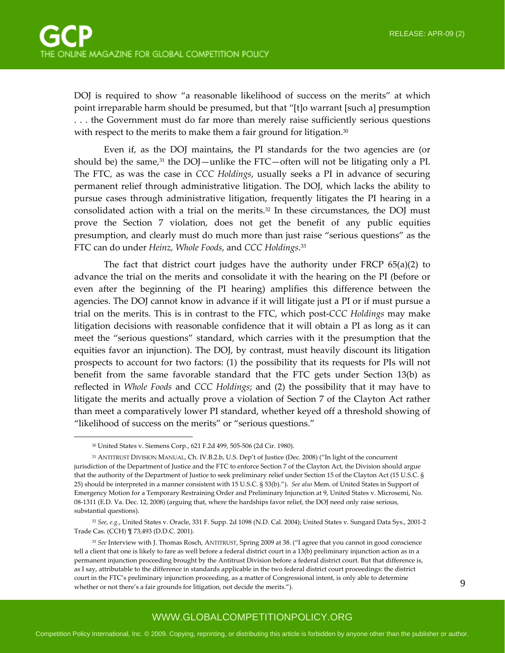DOJ is required to show "a reasonable likelihood of success on the merits" at which point irreparable harm should be presumed, but that "[t]o warrant [such a] presumption . . . the Government must do far more than merely raise sufficiently serious questions with respect to the merits to make them a fair ground for litigation.<sup>30</sup>

Even if, as the DOJ maintains, the PI standards for the two agencies are (or should be) the same,<sup>31</sup> the DOJ—unlike the FTC—often will not be litigating only a PI. The FTC, as was the case in *CCC Holdings*, usually seeks a PI in advance of securing permanent relief through administrative litigation. The DOJ, which lacks the ability to pursue cases through administrative litigation, frequently litigates the PI hearing in a consolidated action with a trial on the merits.32 In these circumstances, the DOJ must prove the Section 7 violation, does not get the benefit of any public equities presumption, and clearly must do much more than just raise "serious questions" as the FTC can do under *Heinz, Whole Foods*, and *CCC Holdings*. 33

The fact that district court judges have the authority under FRCP  $65(a)(2)$  to advance the trial on the merits and consolidate it with the hearing on the PI (before or even after the beginning of the PI hearing) amplifies this difference between the agencies. The DOJ cannot know in advance if it will litigate just a PI or if must pursue a trial on the merits. This is in contrast to the FTC, which post‐*CCC Holdings* may make litigation decisions with reasonable confidence that it will obtain a PI as long as it can meet the "serious questions" standard, which carries with it the presumption that the equities favor an injunction). The DOJ, by contrast, must heavily discount its litigation prospects to account for two factors: (1) the possibility that its requests for PIs will not benefit from the same favorable standard that the FTC gets under Section 13(b) as reflected in *Whole Foods* and *CCC Holdings*; and (2) the possibility that it may have to litigate the merits and actually prove a violation of Section 7 of the Clayton Act rather than meet a comparatively lower PI standard, whether keyed off a threshold showing of "likelihood of success on the merits" or "serious questions."

 $\overline{a}$ 

<sup>30</sup> United States v. Siemens Corp., 621 F.2d 499, 505‐506 (2d Cir. 1980).

<sup>31</sup> ANTITRUST DIVISION MANUAL, Ch. IV.B.2.b, U.S. Dep't of Justice (Dec. 2008) ("In light of the concurrent jurisdiction of the Department of Justice and the FTC to enforce Section 7 of the Clayton Act, the Division should argue that the authority of the Department of Justice to seek preliminary relief under Section 15 of the Clayton Act (15 U.S.C. § 25) should be interpreted in a manner consistent with 15 U.S.C. § 53(b)."). *See also* Mem. of United States in Support of Emergency Motion for a Temporary Restraining Order and Preliminary Injunction at 9, United States v. Microsemi, No. 08-1311 (E.D. Va. Dec. 12, 2008) (arguing that, where the hardships favor relief, the DOJ need only raise serious, substantial questions).

<sup>32</sup> *See, e.g.*, United States v. Oracle, 331 F. Supp. 2d 1098 (N.D. Cal. 2004); United States v. Sungard Data Sys., 2001‐2 Trade Cas. (CCH) ¶ 73,493 (D.D.C. 2001).

<sup>33</sup> *See* Interview with J. Thomas Rosch, ANTITRUST, Spring 2009 at 38. ("I agree that you cannot in good conscience tell a client that one is likely to fare as well before a federal district court in a 13(b) preliminary injunction action as in a permanent injunction proceeding brought by the Antitrust Division before a federal district court. But that difference is, as I say, attributable to the difference in standards applicable in the two federal district court proceedings: the district court in the FTC's preliminary injunction proceeding, as a matter of Congressional intent, is only able to determine whether or not there's a fair grounds for litigation, not decide the merits.").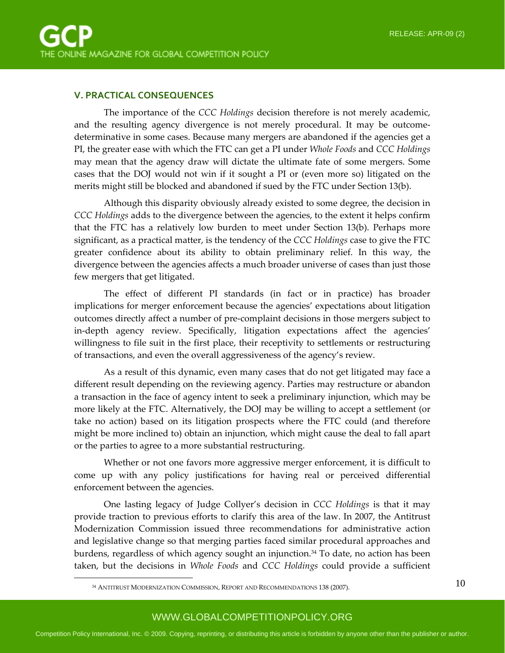#### **V. PRACTICAL CONSEQUENCES**

The importance of the *CCC Holdings* decision therefore is not merely academic, and the resulting agency divergence is not merely procedural. It may be outcome‐ determinative in some cases. Because many mergers are abandoned if the agencies get a PI, the greater ease with which the FTC can get a PI under *Whole Foods* and *CCC Holdings* may mean that the agency draw will dictate the ultimate fate of some mergers. Some cases that the DOJ would not win if it sought a PI or (even more so) litigated on the merits might still be blocked and abandoned if sued by the FTC under Section 13(b).

Although this disparity obviously already existed to some degree, the decision in *CCC Holdings* adds to the divergence between the agencies, to the extent it helps confirm that the FTC has a relatively low burden to meet under Section 13(b). Perhaps more significant, as a practical matter, is the tendency of the *CCC Holdings* case to give the FTC greater confidence about its ability to obtain preliminary relief. In this way, the divergence between the agencies affects a much broader universe of cases than just those few mergers that get litigated.

The effect of different PI standards (in fact or in practice) has broader implications for merger enforcement because the agencies' expectations about litigation outcomes directly affect a number of pre‐complaint decisions in those mergers subject to in‐depth agency review. Specifically, litigation expectations affect the agencies' willingness to file suit in the first place, their receptivity to settlements or restructuring of transactions, and even the overall aggressiveness of the agency's review.

As a result of this dynamic, even many cases that do not get litigated may face a different result depending on the reviewing agency. Parties may restructure or abandon a transaction in the face of agency intent to seek a preliminary injunction, which may be more likely at the FTC. Alternatively, the DOJ may be willing to accept a settlement (or take no action) based on its litigation prospects where the FTC could (and therefore might be more inclined to) obtain an injunction, which might cause the deal to fall apart or the parties to agree to a more substantial restructuring.

Whether or not one favors more aggressive merger enforcement, it is difficult to come up with any policy justifications for having real or perceived differential enforcement between the agencies.

One lasting legacy of Judge Collyer's decision in *CCC Holdings* is that it may provide traction to previous efforts to clarify this area of the law. In 2007, the Antitrust Modernization Commission issued three recommendations for administrative action and legislative change so that merging parties faced similar procedural approaches and burdens, regardless of which agency sought an injunction.34 To date, no action has been taken, but the decisions in *Whole Foods* and *CCC Holdings* could provide a sufficient

 $\overline{a}$ 

<sup>34</sup> ANTITRUST MODERNIZATION COMMISSION, REPORT AND RECOMMENDATIONS 138 (2007).